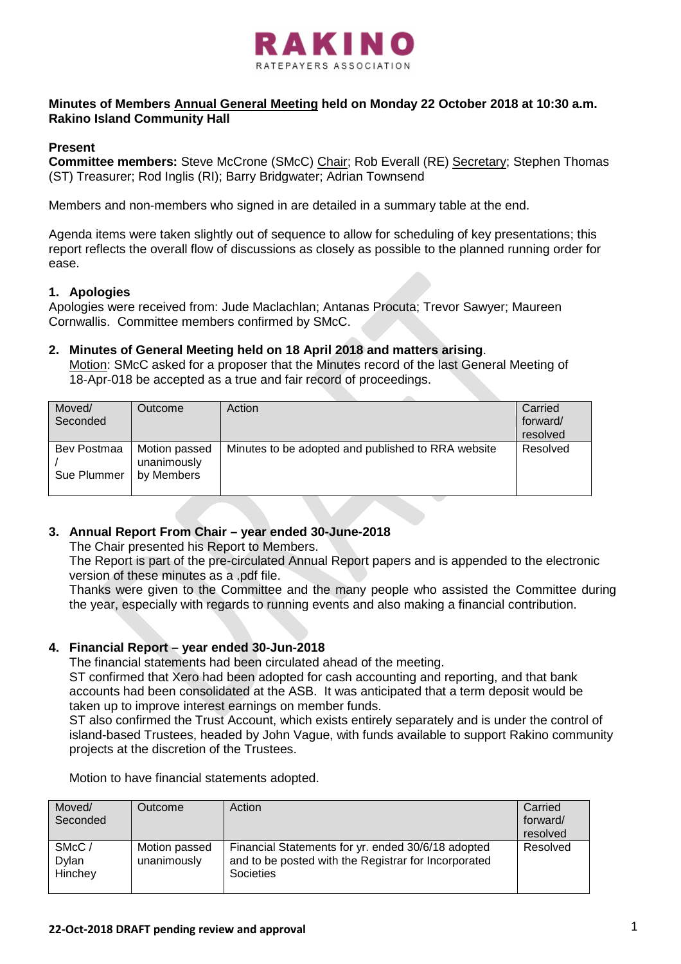

# **Minutes of Members Annual General Meeting held on Monday 22 October 2018 at 10:30 a.m. Rakino Island Community Hall**

### **Present**

**Committee members:** Steve McCrone (SMcC) Chair; Rob Everall (RE) Secretary; Stephen Thomas (ST) Treasurer; Rod Inglis (RI); Barry Bridgwater; Adrian Townsend

Members and non-members who signed in are detailed in a summary table at the end.

Agenda items were taken slightly out of sequence to allow for scheduling of key presentations; this report reflects the overall flow of discussions as closely as possible to the planned running order for ease.

### **1. Apologies**

Apologies were received from: Jude Maclachlan; Antanas Procuta; Trevor Sawyer; Maureen Cornwallis. Committee members confirmed by SMcC.

### **2. Minutes of General Meeting held on 18 April 2018 and matters arising**.

Motion: SMcC asked for a proposer that the Minutes record of the last General Meeting of 18-Apr-018 be accepted as a true and fair record of proceedings.

| Moved/<br>Seconded         | <b>Outcome</b>                             | Action                                             | Carried<br>forward/<br>resolved |
|----------------------------|--------------------------------------------|----------------------------------------------------|---------------------------------|
| Bev Postmaa<br>Sue Plummer | Motion passed<br>unanimously<br>by Members | Minutes to be adopted and published to RRA website | Resolved                        |

# **3. Annual Report From Chair – year ended 30-June-2018**

The Chair presented his Report to Members.

The Report is part of the pre-circulated Annual Report papers and is appended to the electronic version of these minutes as a .pdf file.

Thanks were given to the Committee and the many people who assisted the Committee during the year, especially with regards to running events and also making a financial contribution.

#### **4. Financial Report – year ended 30-Jun-2018**

The financial statements had been circulated ahead of the meeting.

ST confirmed that Xero had been adopted for cash accounting and reporting, and that bank accounts had been consolidated at the ASB. It was anticipated that a term deposit would be taken up to improve interest earnings on member funds.

ST also confirmed the Trust Account, which exists entirely separately and is under the control of island-based Trustees, headed by John Vague, with funds available to support Rakino community projects at the discretion of the Trustees.

|  |  | Motion to have financial statements adopted. |  |
|--|--|----------------------------------------------|--|
|  |  |                                              |  |

| Moved/<br>Seconded                      | Outcome                      | Action                                                                                                                  | Carried<br>forward/<br>resolved |
|-----------------------------------------|------------------------------|-------------------------------------------------------------------------------------------------------------------------|---------------------------------|
| SM <sub>c</sub> C /<br>Dylan<br>Hinchey | Motion passed<br>unanimously | Financial Statements for yr. ended 30/6/18 adopted<br>and to be posted with the Registrar for Incorporated<br>Societies | Resolved                        |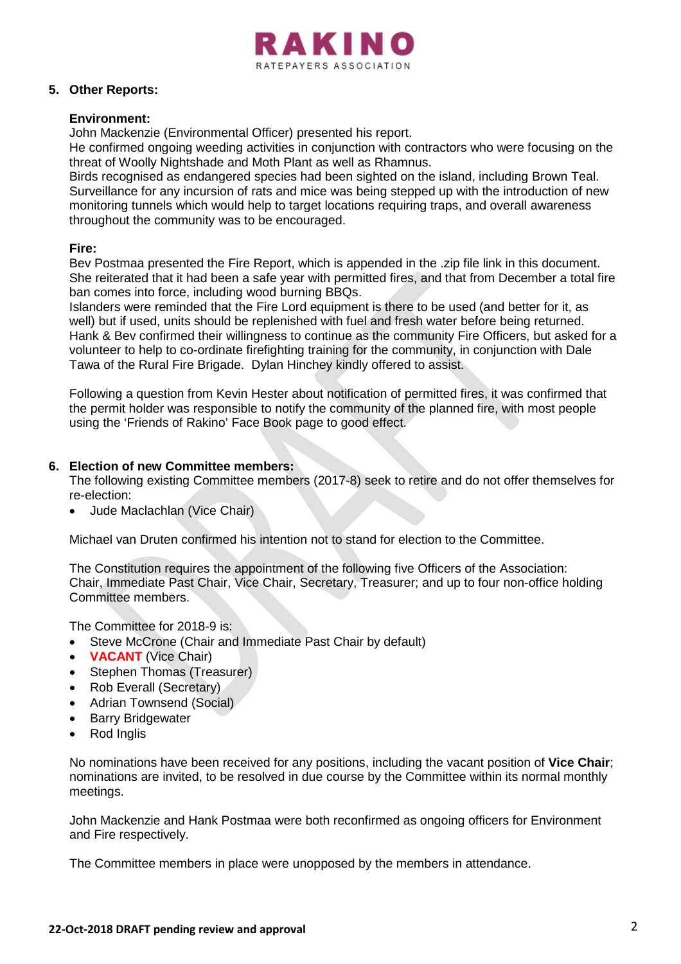

# **5. Other Reports:**

# **Environment:**

John Mackenzie (Environmental Officer) presented his report.

He confirmed ongoing weeding activities in conjunction with contractors who were focusing on the threat of Woolly Nightshade and Moth Plant as well as Rhamnus.

Birds recognised as endangered species had been sighted on the island, including Brown Teal. Surveillance for any incursion of rats and mice was being stepped up with the introduction of new monitoring tunnels which would help to target locations requiring traps, and overall awareness throughout the community was to be encouraged.

# **Fire:**

Bev Postmaa presented the Fire Report, which is appended in the .zip file link in this document. She reiterated that it had been a safe year with permitted fires, and that from December a total fire ban comes into force, including wood burning BBQs.

Islanders were reminded that the Fire Lord equipment is there to be used (and better for it, as well) but if used, units should be replenished with fuel and fresh water before being returned. Hank & Bev confirmed their willingness to continue as the community Fire Officers, but asked for a volunteer to help to co-ordinate firefighting training for the community, in conjunction with Dale Tawa of the Rural Fire Brigade. Dylan Hinchey kindly offered to assist.

Following a question from Kevin Hester about notification of permitted fires, it was confirmed that the permit holder was responsible to notify the community of the planned fire, with most people using the 'Friends of Rakino' Face Book page to good effect.

# **6. Election of new Committee members:**

The following existing Committee members (2017-8) seek to retire and do not offer themselves for re-election:

• Jude Maclachlan (Vice Chair)

Michael van Druten confirmed his intention not to stand for election to the Committee.

The Constitution requires the appointment of the following five Officers of the Association: Chair, Immediate Past Chair, Vice Chair, Secretary, Treasurer; and up to four non-office holding Committee members.

The Committee for 2018-9 is:

- Steve McCrone (Chair and Immediate Past Chair by default)
- **VACANT** (Vice Chair)
- Stephen Thomas (Treasurer)
- Rob Everall (Secretary)
- Adrian Townsend (Social)
- **Barry Bridgewater**
- Rod Inglis

No nominations have been received for any positions, including the vacant position of **Vice Chair**; nominations are invited, to be resolved in due course by the Committee within its normal monthly meetings.

John Mackenzie and Hank Postmaa were both reconfirmed as ongoing officers for Environment and Fire respectively.

The Committee members in place were unopposed by the members in attendance.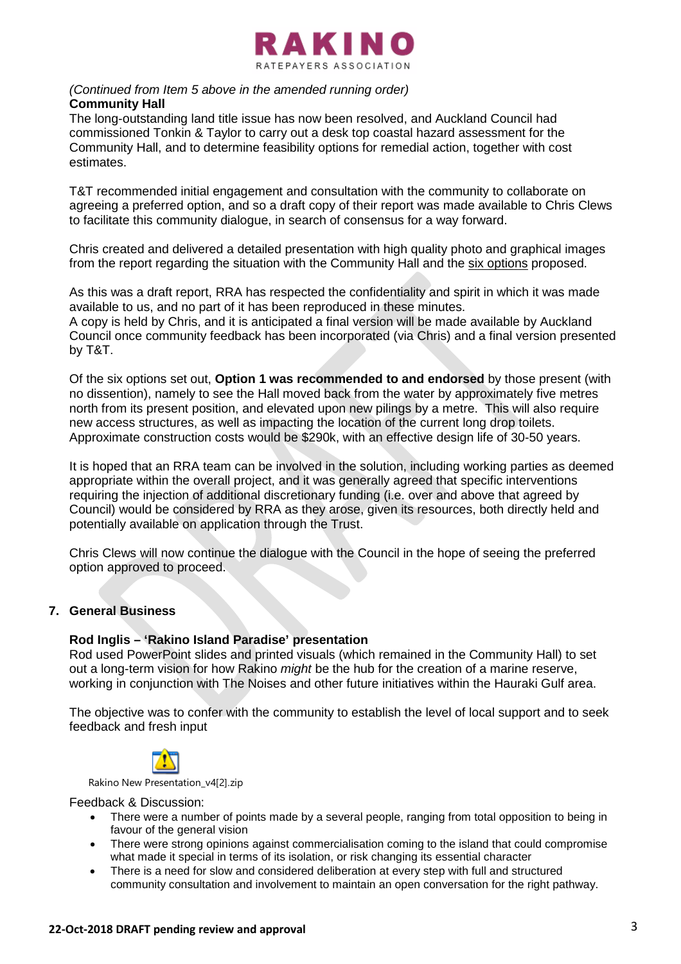

#### *(Continued from Item 5 above in the amended running order)* **Community Hall**

The long-outstanding land title issue has now been resolved, and Auckland Council had commissioned Tonkin & Taylor to carry out a desk top coastal hazard assessment for the Community Hall, and to determine feasibility options for remedial action, together with cost estimates.

T&T recommended initial engagement and consultation with the community to collaborate on agreeing a preferred option, and so a draft copy of their report was made available to Chris Clews to facilitate this community dialogue, in search of consensus for a way forward.

Chris created and delivered a detailed presentation with high quality photo and graphical images from the report regarding the situation with the Community Hall and the six options proposed.

As this was a draft report, RRA has respected the confidentiality and spirit in which it was made available to us, and no part of it has been reproduced in these minutes. A copy is held by Chris, and it is anticipated a final version will be made available by Auckland Council once community feedback has been incorporated (via Chris) and a final version presented by T&T.

Of the six options set out, **Option 1 was recommended to and endorsed** by those present (with no dissention), namely to see the Hall moved back from the water by approximately five metres north from its present position, and elevated upon new pilings by a metre. This will also require new access structures, as well as impacting the location of the current long drop toilets. Approximate construction costs would be \$290k, with an effective design life of 30-50 years.

It is hoped that an RRA team can be involved in the solution, including working parties as deemed appropriate within the overall project, and it was generally agreed that specific interventions requiring the injection of additional discretionary funding (i.e. over and above that agreed by Council) would be considered by RRA as they arose, given its resources, both directly held and potentially available on application through the Trust.

Chris Clews will now continue the dialogue with the Council in the hope of seeing the preferred option approved to proceed.

# **7. General Business**

# **Rod Inglis – 'Rakino Island Paradise' presentation**

Rod used PowerPoint slides and printed visuals (which remained in the Community Hall) to set out a long-term vision for how Rakino *might* be the hub for the creation of a marine reserve, working in conjunction with The Noises and other future initiatives within the Hauraki Gulf area.

The objective was to confer with the community to establish the level of local support and to seek feedback and fresh input



Rakino New Presentation\_v4[2].zip

Feedback & Discussion:

- There were a number of points made by a several people, ranging from total opposition to being in favour of the general vision
- There were strong opinions against commercialisation coming to the island that could compromise what made it special in terms of its isolation, or risk changing its essential character
- There is a need for slow and considered deliberation at every step with full and structured community consultation and involvement to maintain an open conversation for the right pathway.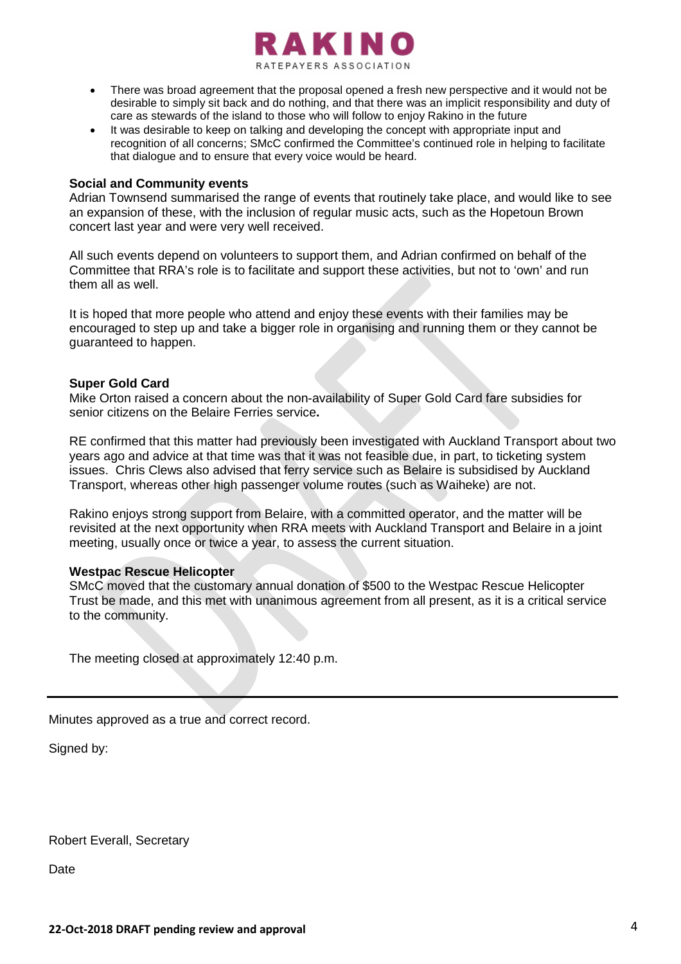

- There was broad agreement that the proposal opened a fresh new perspective and it would not be desirable to simply sit back and do nothing, and that there was an implicit responsibility and duty of care as stewards of the island to those who will follow to enjoy Rakino in the future
- It was desirable to keep on talking and developing the concept with appropriate input and recognition of all concerns; SMcC confirmed the Committee's continued role in helping to facilitate that dialogue and to ensure that every voice would be heard.

#### **Social and Community events**

Adrian Townsend summarised the range of events that routinely take place, and would like to see an expansion of these, with the inclusion of regular music acts, such as the Hopetoun Brown concert last year and were very well received.

All such events depend on volunteers to support them, and Adrian confirmed on behalf of the Committee that RRA's role is to facilitate and support these activities, but not to 'own' and run them all as well.

It is hoped that more people who attend and enjoy these events with their families may be encouraged to step up and take a bigger role in organising and running them or they cannot be guaranteed to happen.

#### **Super Gold Card**

Mike Orton raised a concern about the non-availability of Super Gold Card fare subsidies for senior citizens on the Belaire Ferries service**.**

RE confirmed that this matter had previously been investigated with Auckland Transport about two years ago and advice at that time was that it was not feasible due, in part, to ticketing system issues. Chris Clews also advised that ferry service such as Belaire is subsidised by Auckland Transport, whereas other high passenger volume routes (such as Waiheke) are not.

Rakino enjoys strong support from Belaire, with a committed operator, and the matter will be revisited at the next opportunity when RRA meets with Auckland Transport and Belaire in a joint meeting, usually once or twice a year, to assess the current situation.

#### **Westpac Rescue Helicopter**

SMcC moved that the customary annual donation of \$500 to the Westpac Rescue Helicopter Trust be made, and this met with unanimous agreement from all present, as it is a critical service to the community.

The meeting closed at approximately 12:40 p.m.

Minutes approved as a true and correct record.

Signed by:

Robert Everall, Secretary

Date